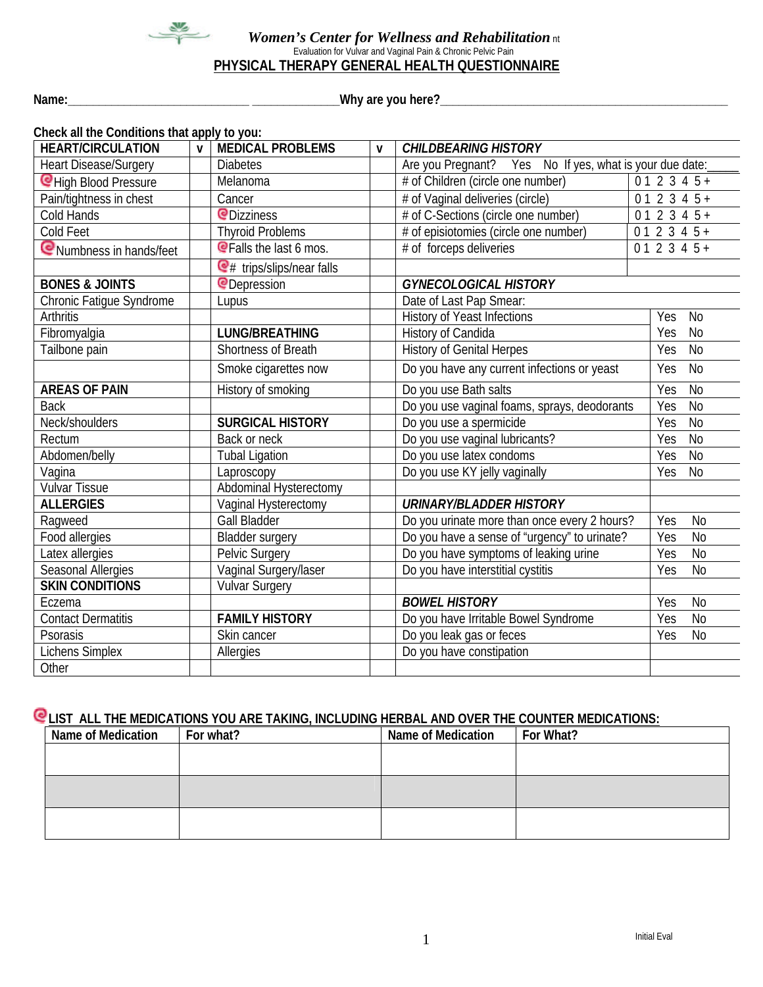

#### *Women's Center for Wellness and Rehabilitation* nt Evaluation for Vulvar and Vaginal Pain & Chronic Pelvic Pain **PHYSICAL THERAPY GENERAL HEALTH QUESTIONNAIRE**

**Name:\_\_\_\_\_\_\_\_\_\_\_\_\_\_\_\_\_\_\_\_\_\_\_\_\_\_\_\_\_ \_\_\_\_\_\_\_\_\_\_\_\_\_\_Why are you here?\_\_\_\_\_\_\_\_\_\_\_\_\_\_\_\_\_\_\_\_\_\_\_\_\_\_\_\_\_\_\_\_\_\_\_\_\_\_\_\_\_\_\_\_\_\_**

| Check all the Conditions that apply to you: |              |                                |              |                                                               |  |                           |                |
|---------------------------------------------|--------------|--------------------------------|--------------|---------------------------------------------------------------|--|---------------------------|----------------|
| <b>HEART/CIRCULATION</b>                    | $\mathsf{v}$ | <b>MEDICAL PROBLEMS</b>        | $\mathbf{V}$ | <b>CHILDBEARING HISTORY</b>                                   |  |                           |                |
| <b>Heart Disease/Surgery</b>                |              | <b>Diabetes</b>                |              | Are you Pregnant? Yes No If yes, what is your due date:       |  |                           |                |
| CHigh Blood Pressure                        |              | Melanoma                       |              | # of Children (circle one number)                             |  | $\overline{01}$ 2 3 4 5 + |                |
| Pain/tightness in chest                     |              | Cancer                         |              | # of Vaginal deliveries (circle)                              |  | $012345+$                 |                |
| Cold Hands                                  |              | <b>P</b> Dizziness             |              | # of C-Sections (circle one number)<br>$012345+$              |  |                           |                |
| Cold Feet                                   |              | <b>Thyroid Problems</b>        |              | # of episiotomies (circle one number)                         |  | $012345+$                 |                |
| Numbness in hands/feet                      |              | <b>Q</b> Falls the last 6 mos. |              | $012345+$<br># of forceps deliveries                          |  |                           |                |
|                                             |              | $Q#$ trips/slips/near falls    |              |                                                               |  |                           |                |
| <b>BONES &amp; JOINTS</b>                   |              | <b>@Depression</b>             |              | <b>GYNECOLOGICAL HISTORY</b>                                  |  |                           |                |
| Chronic Fatique Syndrome                    |              | Lupus                          |              | Date of Last Pap Smear:                                       |  |                           |                |
| <b>Arthritis</b>                            |              |                                |              | <b>History of Yeast Infections</b>                            |  | Yes                       | <b>No</b>      |
| Fibromyalgia                                |              | <b>LUNG/BREATHING</b>          |              | History of Candida                                            |  | Yes                       | <b>No</b>      |
| Tailbone pain                               |              | <b>Shortness of Breath</b>     |              | <b>History of Genital Herpes</b>                              |  | Yes                       | <b>No</b>      |
|                                             |              | Smoke cigarettes now           |              | Do you have any current infections or yeast                   |  | Yes                       | N <sub>o</sub> |
| <b>AREAS OF PAIN</b>                        |              | History of smoking             |              | Do you use Bath salts                                         |  | Yes                       | N <sub>o</sub> |
| <b>Back</b>                                 |              |                                |              | Do you use vaginal foams, sprays, deodorants                  |  | Yes                       | <b>No</b>      |
| Neck/shoulders                              |              | <b>SURGICAL HISTORY</b>        |              | Do you use a spermicide                                       |  | Yes                       | N <sub>o</sub> |
| Rectum                                      |              | Back or neck                   |              | Do you use vaginal lubricants?                                |  | Yes                       | <b>No</b>      |
| Abdomen/belly                               |              | <b>Tubal Ligation</b>          |              | Do you use latex condoms<br>Yes                               |  | N <sub>0</sub>            |                |
| Vagina                                      |              | Laproscopy                     |              | Do you use KY jelly vaginally<br><b>No</b><br>Yes             |  |                           |                |
| <b>Vulvar Tissue</b>                        |              | Abdominal Hysterectomy         |              |                                                               |  |                           |                |
| <b>ALLERGIES</b>                            |              | Vaginal Hysterectomy           |              | <b>URINARY/BLADDER HISTORY</b>                                |  |                           |                |
| Ragweed                                     |              | <b>Gall Bladder</b>            |              | Do you urinate more than once every 2 hours?                  |  | Yes                       | <b>No</b>      |
| Food allergies                              |              | Bladder surgery                |              | Do you have a sense of "urgency" to urinate?                  |  | Yes                       | $\overline{N}$ |
| Latex allergies                             |              | Pelvic Surgery                 |              | Do you have symptoms of leaking urine                         |  | Yes                       | N <sub>o</sub> |
| Seasonal Allergies                          |              | Vaginal Surgery/laser          |              | Do you have interstitial cystitis                             |  | Yes                       | <b>No</b>      |
| <b>SKIN CONDITIONS</b>                      |              | <b>Vulvar Surgery</b>          |              |                                                               |  |                           |                |
| Eczema                                      |              |                                |              | <b>BOWEL HISTORY</b>                                          |  | Yes                       | <b>No</b>      |
| <b>Contact Dermatitis</b>                   |              | <b>FAMILY HISTORY</b>          |              | $\overline{N}$<br>Do you have Irritable Bowel Syndrome<br>Yes |  |                           |                |
| Psorasis                                    |              | Skin cancer                    |              | N <sub>o</sub><br>Do you leak gas or feces<br>Yes             |  |                           |                |
| <b>Lichens Simplex</b>                      |              | Allergies                      |              | Do you have constipation                                      |  |                           |                |
| Other                                       |              |                                |              |                                                               |  |                           |                |

# **CLIST ALL THE MEDICATIONS YOU ARE TAKING, INCLUDING HERBAL AND OVER THE COUNTER MEDICATIONS:**

| Name of Medication | For what? | Name of Medication | For What? |
|--------------------|-----------|--------------------|-----------|
|                    |           |                    |           |
|                    |           |                    |           |
|                    |           |                    |           |
|                    |           |                    |           |
|                    |           |                    |           |
|                    |           |                    |           |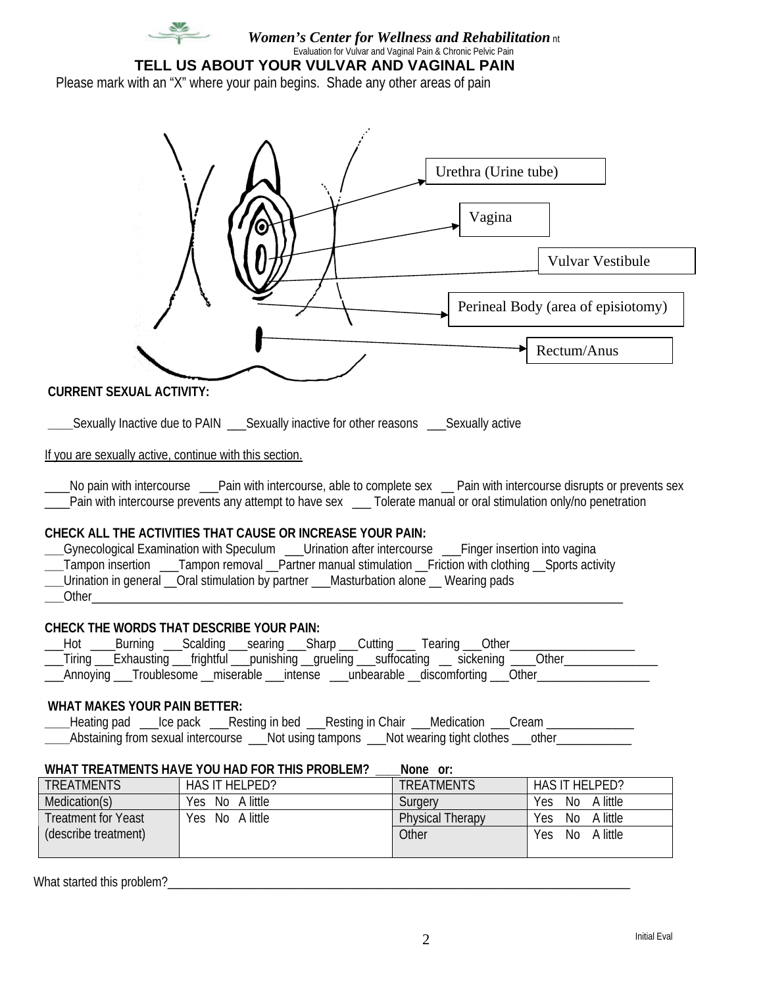

*Women's Center for Wellness and Rehabilitation* nt Evaluation for Vulvar and Vaginal Pain & Chronic Pelvic Pain

**TELL US ABOUT YOUR VULVAR AND VAGINAL PAIN**

Please mark with an "X" where your pain begins. Shade any other areas of pain



## **CURRENT SEXUAL ACTIVITY:**

**Sexually Inactive due to PAIN \_\_\_\_Sexually inactive for other reasons \_\_\_\_\_\_Sexually active** 

If you are sexually active, continue with this section.

No pain with intercourse \_\_\_Pain with intercourse, able to complete sex \_\_ Pain with intercourse disrupts or prevents sex Pain with intercourse prevents any attempt to have sex <br>Tolerate manual or oral stimulation only/no penetration

#### **CHECK ALL THE ACTIVITIES THAT CAUSE OR INCREASE YOUR PAIN:**

**\_\_\_**Gynecological Examination with Speculum \_\_\_Urination after intercourse \_\_\_Finger insertion into vagina **\_\_\_**Tampon insertion \_\_\_Tampon removal \_\_Partner manual stimulation \_\_Friction with clothing \_\_Sports activity **\_\_\_**Urination in general \_\_Oral stimulation by partner \_\_\_Masturbation alone \_\_ Wearing pads **\_\_\_**Other\_\_\_\_\_\_\_\_\_\_\_\_\_\_\_\_\_\_\_\_\_\_\_\_\_\_\_\_\_\_\_\_\_\_\_\_\_\_\_\_\_\_\_\_\_\_\_\_\_\_\_\_\_\_\_\_\_\_\_\_\_\_\_\_\_\_\_\_\_\_\_\_\_\_\_\_\_\_\_\_\_\_\_\_\_

#### **CHECK THE WORDS THAT DESCRIBE YOUR PAIN:**

| __Hot ____Burning ___Scalding ___searing ___Sharp ___Cutting ___ Tearing ___Other_           |  |  |  |  |  |
|----------------------------------------------------------------------------------------------|--|--|--|--|--|
| __Tiring __Exhausting __frightful __punishing _grueling __suffocating __ sickening ___Other_ |  |  |  |  |  |
| __Annoying ___Troublesome __miserable ___intense ___unbearable __discomforting ___Other_     |  |  |  |  |  |

#### **WHAT MAKES YOUR PAIN BETTER:**

Leating pad \_\_\_Ice pack \_\_\_Resting in bed \_\_\_Resting in Chair \_\_\_Medication \_\_\_Cream \_\_\_\_\_\_\_\_\_\_\_\_\_\_\_\_\_\_\_\_\_\_\_\_\_ **\_\_\_\_**Abstaining from sexual intercourse \_\_\_Not using tampons \_\_\_Not wearing tight clothes \_\_\_other\_\_\_\_\_\_\_\_\_\_\_\_

### WHAT TREATMENTS HAVE YOU HAD FOR THIS PROBLEM? None or:

| <b>TREATMENTS</b>          | HAS IT HELPED?     | <b>TREATMENTS</b>       | HAS IT HELPED?               |
|----------------------------|--------------------|-------------------------|------------------------------|
| Medication(s)              | No A little<br>Yes | Surgery                 | A little<br>Yes<br>No        |
| <b>Treatment for Yeast</b> | No A little<br>Yes | <b>Physical Therapy</b> | A little<br>No<br>Yes        |
| (describe treatment)       |                    | Other                   | A little<br>No<br><b>Yes</b> |
|                            |                    |                         |                              |

What started this problem?\_\_\_\_\_\_\_\_\_\_\_\_\_\_\_\_\_\_\_\_\_\_\_\_\_\_\_\_\_\_\_\_\_\_\_\_\_\_\_\_\_\_\_\_\_\_\_\_\_\_\_\_\_\_\_\_\_\_\_\_\_\_\_\_\_\_\_\_\_\_\_\_\_\_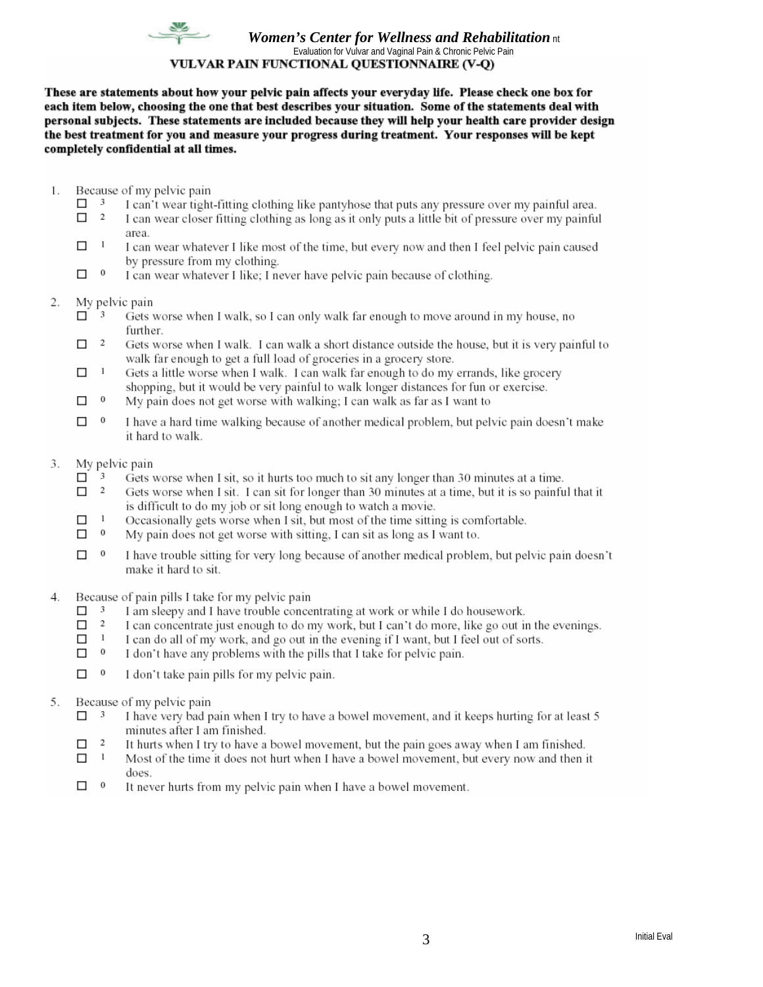

#### **Women's Center for Wellness and Rehabilitation nt** Evaluation for Vulvar and Vaginal Pain & Chronic Pelvic Pain VULVAR PAIN FUNCTIONAL QUESTIONNAIRE (V-Q)

These are statements about how your pelvic pain affects your everyday life. Please check one box for each item below, choosing the one that best describes your situation. Some of the statements deal with personal subjects. These statements are included because they will help your health care provider design the best treatment for you and measure your progress during treatment. Your responses will be kept completely confidential at all times.

- 1. Because of my pelvic pain
	- $\Box$  3 I can't wear tight-fitting clothing like pantyhose that puts any pressure over my painful area.
	- $\Box$  2 I can wear closer fitting clothing as long as it only puts a little bit of pressure over my painful area
	- $\!-1\!$  $\Box$ I can wear whatever I like most of the time, but every now and then I feel pelvic pain caused by pressure from my clothing.
	- $\boldsymbol{0}$  $\Box$ I can wear whatever I like; I never have pelvic pain because of clothing.
- 2. My pelvic pain
	- $\Box$  3 Gets worse when I walk, so I can only walk far enough to move around in my house, no further.
	- $\overline{\phantom{a}}$  $\Box$ Gets worse when I walk. I can walk a short distance outside the house, but it is very painful to walk far enough to get a full load of groceries in a grocery store.
	- $\mathbf{1}$  $\Box$ Gets a little worse when I walk. I can walk far enough to do my errands, like grocery shopping, but it would be very painful to walk longer distances for fun or exercise.
	- $\,$  0  $\Box$ My pain does not get worse with walking; I can walk as far as I want to
	- $\Box$  $\overline{0}$ I have a hard time walking because of another medical problem, but pelvic pain doesn't make it hard to walk.
- 3. My pelvic pain
	- $\Box$  3 Gets worse when I sit, so it hurts too much to sit any longer than 30 minutes at a time.
	- $\Box$  2 Gets worse when I sit. I can sit for longer than 30 minutes at a time, but it is so painful that it is difficult to do my job or sit long enough to watch a movie.
	- $\Box$  $\overline{1}$ Occasionally gets worse when I sit, but most of the time sitting is comfortable.
	- $\Box$  0 My pain does not get worse with sitting, I can sit as long as I want to.
	- $\overline{0}$  $\Box$ I have trouble sitting for very long because of another medical problem, but pelvic pain doesn't make it hard to sit.
- 4. Because of pain pills I take for my pelvic pain
	- $\Box$  3 I am sleepy and I have trouble concentrating at work or while I do housework.
	- $\Box$  2 I can concentrate just enough to do my work, but I can't do more, like go out in the evenings.
	- $\mathbf{1}$  $\Box$ I can do all of my work, and go out in the evening if I want, but I feel out of sorts.
	- $\,$  0  $\Box$ I don't have any problems with the pills that I take for pelvic pain.
	- $\Box$  0 I don't take pain pills for my pelvic pain.
- Because of my pelvic pain 5.
	- $\Box$  3 I have very bad pain when I try to have a bowel movement, and it keeps hurting for at least 5 minutes after I am finished.
	- $\overline{2}$  $\Box$ It hurts when I try to have a bowel movement, but the pain goes away when I am finished.
	- $\Box$  $\mathbf{1}$ Most of the time it does not hurt when I have a bowel movement, but every now and then it does.
	- $\Box$  0 It never hurts from my pelvic pain when I have a bowel movement.